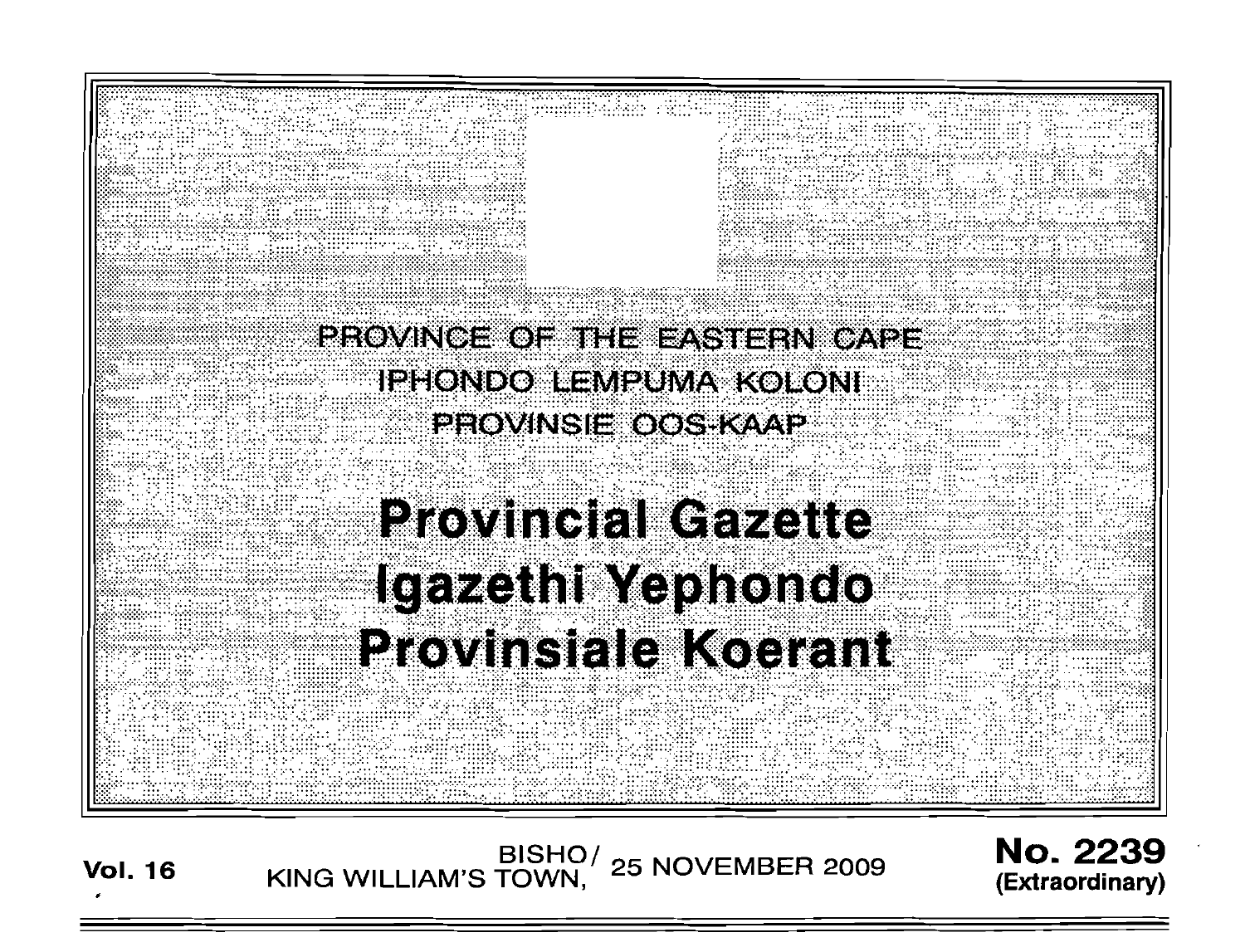

/BISHO<br>KING WILLIAM'S TOWN, 25 NOVEMBER 2009 **No. 2239** (Extraordinary)

**Vol. 16**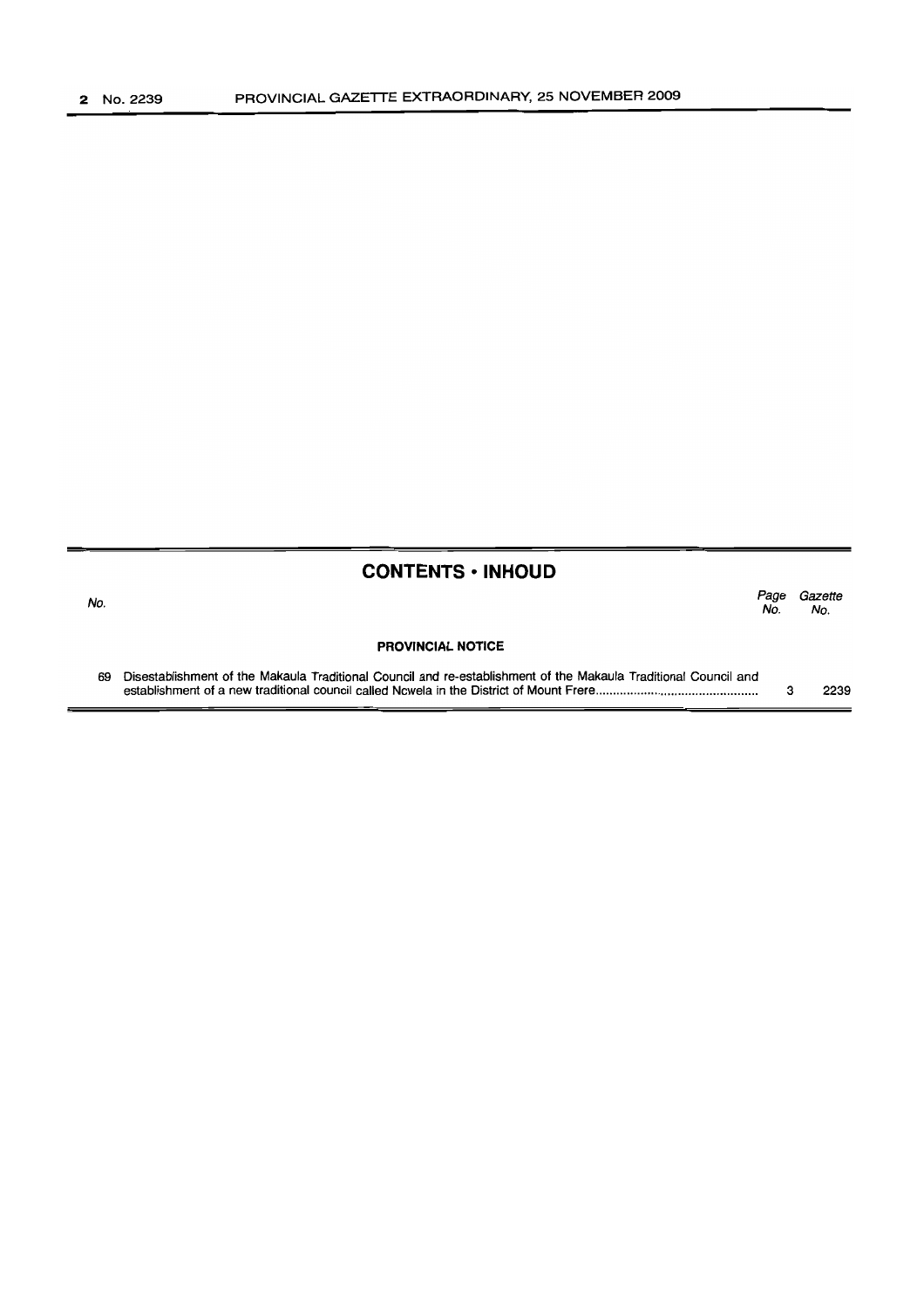# **CONTENTS ·INHOUD**

| No. |                                                                                                                 | Page<br>No. | Gazette<br>No. |
|-----|-----------------------------------------------------------------------------------------------------------------|-------------|----------------|
|     | <b>PROVINCIAL NOTICE</b>                                                                                        |             |                |
| 69  | Disestablishment of the Makaula Traditional Council and re-establishment of the Makaula Traditional Council and |             | 2239           |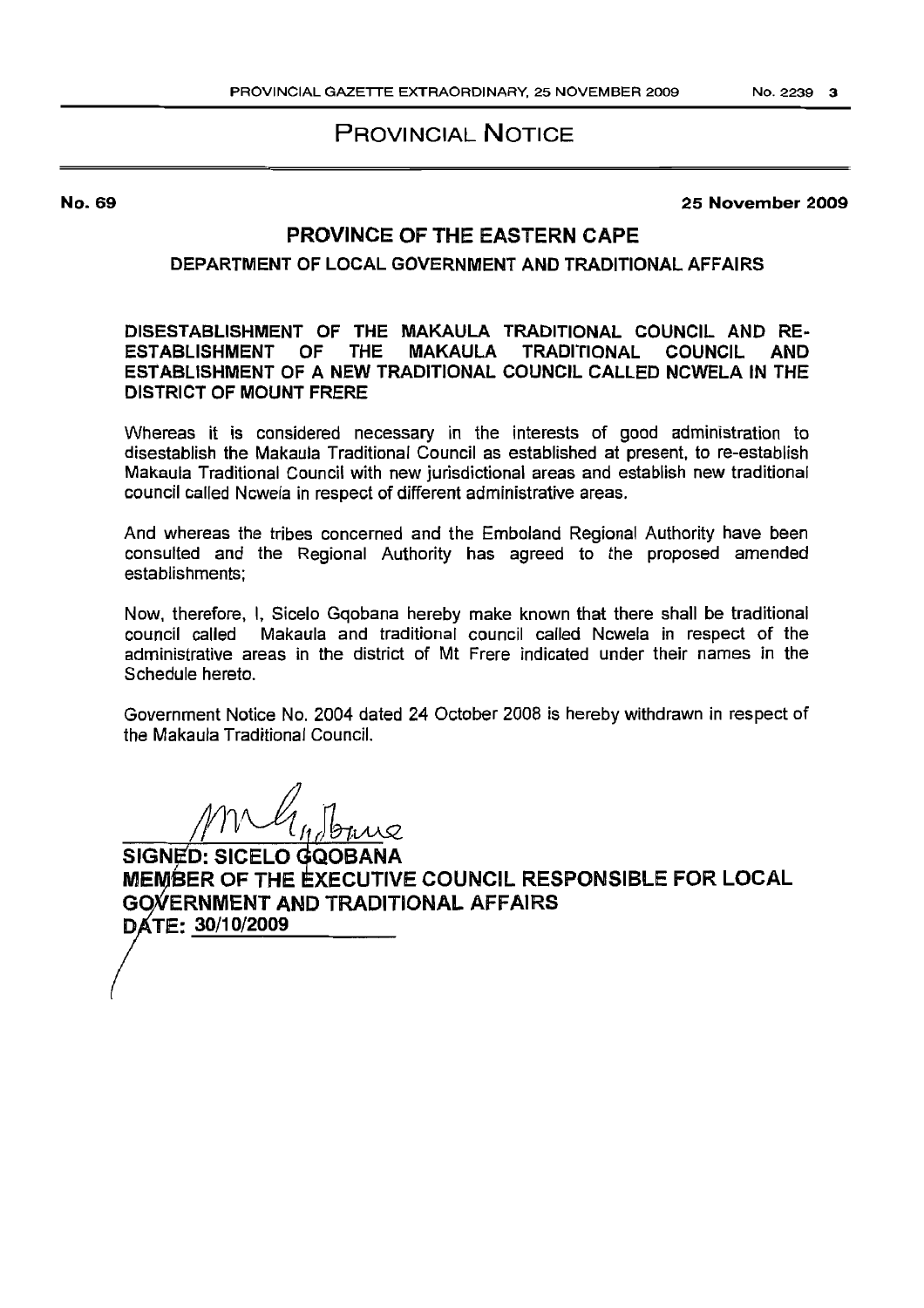# PROVINCIAL NOTICE

No. 69

25 November 2009

## PROVINCE OF THE EASTERN CAPE

## DEPARTMENT OF LOCAL GOVERNMENT AND TRADITIONAL AFFAIRS

#### DISESTABLISHMENT OF THE MAKAULA TRADITIONAL COUNCIL AND RE-ESTABLISHMENT OF THE ESTABLISHMENT OF A NEW TRADITIONAL COUNCIL CALLED NCWElA IN THE DISTRICT OF MOUNT FRERE

Whereas it is considered necessary in the interests of good administration to disestablish the Makaula Traditional Council as established at present. to re-establish Makaula Traditional Council with new jurisdictional areas and establish new traditional council called Ncwela in respect of different administrative areas.

And whereas the tribes concerned and the Emboland Regional Authority have been consulted and the Regional Authority has agreed to the proposed amended establishments;

Now. therefore, I, Sicelo Gqobana hereby make known that there shall be traditional council called Makaula and traditional council called Ncwela in respect of the administrative areas in the district of Mt Frere indicated under their names in the Schedule hereto.

Government Notice No. 2004 dated 24 October 2008 is hereby withdrawn in respect of the Makaula Traditional Council.

SIGNED: SICELO GQOBANA MEMBER OF THE EXECUTIVE COUNCIL RESPONSIBLE FOR LOCAL GOVERNMENT AND TRADITIONAL AFFAIRS DATE: 30/10/2009